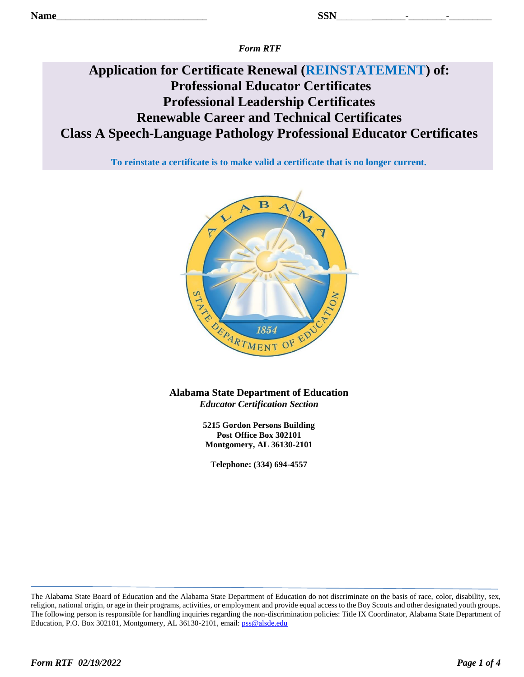*Form RTF*

# **Application for Certificate Renewal (REINSTATEMENT) of: Professional Educator Certificates Professional Leadership Certificates Renewable Career and Technical Certificates Class A Speech-Language Pathology Professional Educator Certificates**

**To reinstate a certificate is to make valid a certificate that is no longer current.**



**Alabama State Department of Education** *Educator Certification Section*

> **5215 Gordon Persons Building Post Office Box 302101 Montgomery, AL 36130-2101**

**Telephone: (334) 694-4557**

The Alabama State Board of Education and the Alabama State Department of Education do not discriminate on the basis of race, color, disability, sex, religion, national origin, or age in their programs, activities, or employment and provide equal access to the Boy Scouts and other designated youth groups. The following person is responsible for handling inquiries regarding the non-discrimination policies: Title IX Coordinator, Alabama State Department of Education, P.O. Box 302101, Montgomery, AL 36130-2101, email: [pss@alsde.edu](mailto:pss@alsde.edu)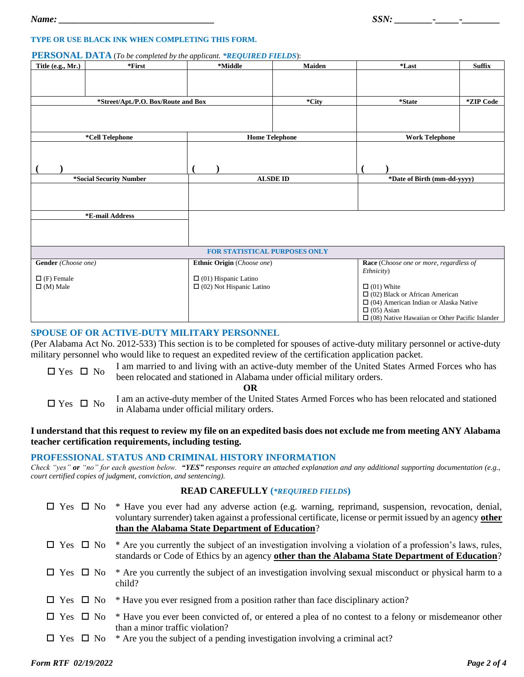#### **TYPE OR USE BLACK INK WHEN COMPLETING THIS FORM.**

#### **PERSONAL DATA** (*To be completed by the applicant. \*REQUIRED FIELDS*):

| Title (e.g., Mr.)                   | $*First$                | *Middle                              | <b>Maiden</b>   | *Last                                                                      | <b>Suffix</b>               |  |
|-------------------------------------|-------------------------|--------------------------------------|-----------------|----------------------------------------------------------------------------|-----------------------------|--|
|                                     |                         |                                      |                 |                                                                            |                             |  |
|                                     |                         |                                      |                 |                                                                            |                             |  |
| *Street/Apt./P.O. Box/Route and Box |                         |                                      | *City           | *State                                                                     | *ZIP Code                   |  |
|                                     |                         |                                      |                 |                                                                            |                             |  |
|                                     |                         |                                      |                 |                                                                            |                             |  |
| *Cell Telephone                     |                         | <b>Home Telephone</b>                |                 | <b>Work Telephone</b>                                                      |                             |  |
|                                     |                         |                                      |                 |                                                                            |                             |  |
|                                     |                         |                                      |                 |                                                                            |                             |  |
|                                     |                         |                                      |                 |                                                                            |                             |  |
|                                     | *Social Security Number |                                      | <b>ALSDE ID</b> |                                                                            | *Date of Birth (mm-dd-yyyy) |  |
|                                     |                         |                                      |                 |                                                                            |                             |  |
|                                     |                         |                                      |                 |                                                                            |                             |  |
|                                     | *E-mail Address         |                                      |                 |                                                                            |                             |  |
|                                     |                         |                                      |                 |                                                                            |                             |  |
|                                     |                         |                                      |                 |                                                                            |                             |  |
|                                     |                         |                                      |                 |                                                                            |                             |  |
|                                     |                         | <b>FOR STATISTICAL PURPOSES ONLY</b> |                 |                                                                            |                             |  |
| Gender (Choose one)                 |                         | Ethnic Origin (Choose one)           |                 | Race (Choose one or more, regardless of                                    |                             |  |
| $\Box$ (F) Female                   |                         | $\Box$ (01) Hispanic Latino          |                 | Ethnicity)                                                                 |                             |  |
| $\Box$ (M) Male                     |                         | $\Box$ (02) Not Hispanic Latino      |                 | $\Box$ (01) White                                                          |                             |  |
|                                     |                         |                                      |                 | $\Box$ (02) Black or African American                                      |                             |  |
|                                     |                         |                                      |                 | $\Box$ (04) American Indian or Alaska Native                               |                             |  |
|                                     |                         |                                      |                 | $\Box$ (05) Asian<br>$\Box$ (08) Native Hawaiian or Other Pacific Islander |                             |  |

## **SPOUSE OF OR ACTIVE-DUTY MILITARY PERSONNEL**

(Per Alabama Act No. 2012-533) This section is to be completed for spouses of active-duty military personnel or active-duty military personnel who would like to request an expedited review of the certification application packet.

 $\Box$  Yes  $\Box$  No I am married to and living with an active-duty member of the United States Armed Forces who has been relocated and stationed in Alabama under official military orders. **OR** 

 $\Box$  Yes  $\Box$  No I am an active-duty member of the United States Armed Forces who has been relocated and stationed in Alabama under official military orders.

## **I understand that this request to review my file on an expedited basis does not exclude me from meeting ANY Alabama teacher certification requirements, including testing.**

#### **PROFESSIONAL STATUS AND CRIMINAL HISTORY INFORMATION**

*Check "yes" or "no" for each question below.**"YES" responses require an attached explanation and any additional supporting documentation (e.g., court certified copies of judgment, conviction, and sentencing).*

## **READ CAREFULLY (***\*REQUIRED FIELDS***)**

|  | $\Box$ Yes $\Box$ No $*$ Have you ever had any adverse action (e.g. warning, reprimand, suspension, revocation, denial,<br>voluntary surrender) taken against a professional certificate, license or permit issued by an agency other<br>than the Alabama State Department of Education? |
|--|------------------------------------------------------------------------------------------------------------------------------------------------------------------------------------------------------------------------------------------------------------------------------------------|
|  | $\Box$ Yes $\Box$ No * Are you currently the subject of an investigation involving a violation of a profession's laws, rules,<br>standards or Code of Ethics by an agency other than the Alabama State Department of Education?                                                          |
|  | $\Box$ Yes $\Box$ No * Are you currently the subject of an investigation involving sexual misconduct or physical harm to a<br>child?                                                                                                                                                     |
|  | $\Box$ Yes $\Box$ No * Have you ever resigned from a position rather than face disciplinary action?                                                                                                                                                                                      |
|  | $\Box$ Yes $\Box$ No * Have you ever been convicted of, or entered a plea of no contest to a felony or misdemeanor other<br>than a minor traffic violation?                                                                                                                              |
|  | $\Box$ Yes $\Box$ No * Are you the subject of a pending investigation involving a criminal act?                                                                                                                                                                                          |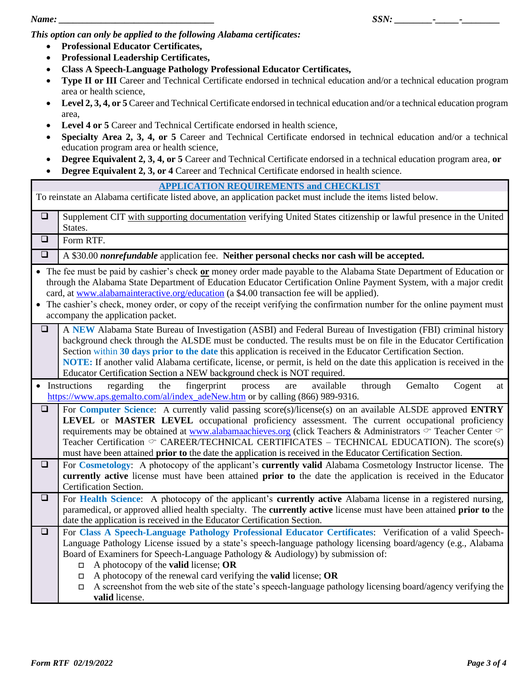*This option can only be applied to the following Alabama certificates:*

- **Professional Educator Certificates,**
- **Professional Leadership Certificates,**
- **Class A Speech-Language Pathology Professional Educator Certificates,**
- **Type II or III** Career and Technical Certificate endorsed in technical education and/or a technical education program area or health science,
- Level 2, 3, 4, or 5 Career and Technical Certificate endorsed in technical education and/or a technical education program area,
- **Level 4 or 5** Career and Technical Certificate endorsed in health science,
- **Specialty Area 2, 3, 4, or 5** Career and Technical Certificate endorsed in technical education and/or a technical education program area or health science,
- **Degree Equivalent 2, 3, 4, or 5** Career and Technical Certificate endorsed in a technical education program area, **or**
- **Degree Equivalent 2, 3, or 4** Career and Technical Certificate endorsed in health science.

|        | <b>APPLICATION REQUIREMENTS and CHECKLIST</b>                                                                                                                                                                                                                                                                                                                                                                                                                                                                                                                                                      |
|--------|----------------------------------------------------------------------------------------------------------------------------------------------------------------------------------------------------------------------------------------------------------------------------------------------------------------------------------------------------------------------------------------------------------------------------------------------------------------------------------------------------------------------------------------------------------------------------------------------------|
|        | To reinstate an Alabama certificate listed above, an application packet must include the items listed below.                                                                                                                                                                                                                                                                                                                                                                                                                                                                                       |
| $\Box$ | Supplement CIT with supporting documentation verifying United States citizenship or lawful presence in the United<br>States.                                                                                                                                                                                                                                                                                                                                                                                                                                                                       |
| $\Box$ | Form RTF.                                                                                                                                                                                                                                                                                                                                                                                                                                                                                                                                                                                          |
| $\Box$ | A \$30.00 nonrefundable application fee. Neither personal checks nor cash will be accepted.                                                                                                                                                                                                                                                                                                                                                                                                                                                                                                        |
|        | • The fee must be paid by cashier's check or money order made payable to the Alabama State Department of Education or<br>through the Alabama State Department of Education Educator Certification Online Payment System, with a major credit<br>card, at www.alabamainteractive.org/education (a \$4.00 transaction fee will be applied).<br>• The cashier's check, money order, or copy of the receipt verifying the confirmation number for the online payment must<br>accompany the application packet.                                                                                         |
| $\Box$ | A NEW Alabama State Bureau of Investigation (ASBI) and Federal Bureau of Investigation (FBI) criminal history<br>background check through the ALSDE must be conducted. The results must be on file in the Educator Certification<br>Section within 30 days prior to the date this application is received in the Educator Certification Section.<br>NOTE: If another valid Alabama certificate, license, or permit, is held on the date this application is received in the<br>Educator Certification Section a NEW background check is NOT required.                                              |
|        | fingerprint<br>Gemalto<br>• Instructions<br>regarding<br>the<br>available<br>through<br>Cogent<br>process<br>are<br>at<br>https://www.aps.gemalto.com/al/index_adeNew.htm or by calling (866) 989-9316.                                                                                                                                                                                                                                                                                                                                                                                            |
| $\Box$ | For Computer Science: A currently valid passing score(s)/license(s) on an available ALSDE approved ENTRY<br><b>LEVEL</b> or <b>MASTER LEVEL</b> occupational proficiency assessment. The current occupational proficiency<br>requirements may be obtained at www.alabamaachieves.org (click Teachers & Administrators $\circ$ Teacher Center $\circ$<br>Teacher Certification $\circ$ CAREER/TECHNICAL CERTIFICATES – TECHNICAL EDUCATION). The score(s)<br>must have been attained prior to the date the application is received in the Educator Certification Section.                           |
| $\Box$ | For Cosmetology: A photocopy of the applicant's currently valid Alabama Cosmetology Instructor license. The<br>currently active license must have been attained prior to the date the application is received in the Educator<br>Certification Section.                                                                                                                                                                                                                                                                                                                                            |
| $\Box$ | For Health Science: A photocopy of the applicant's currently active Alabama license in a registered nursing,<br>paramedical, or approved allied health specialty. The currently active license must have been attained prior to the<br>date the application is received in the Educator Certification Section.                                                                                                                                                                                                                                                                                     |
| $\Box$ | For Class A Speech-Language Pathology Professional Educator Certificates: Verification of a valid Speech-<br>Language Pathology License issued by a state's speech-language pathology licensing board/agency (e.g., Alabama<br>Board of Examiners for Speech-Language Pathology & Audiology) by submission of:<br>A photocopy of the <b>valid</b> license; OR<br>П<br>A photocopy of the renewal card verifying the <b>valid</b> license; OR<br>$\Box$<br>A screenshot from the web site of the state's speech-language pathology licensing board/agency verifying the<br>$\Box$<br>valid license. |